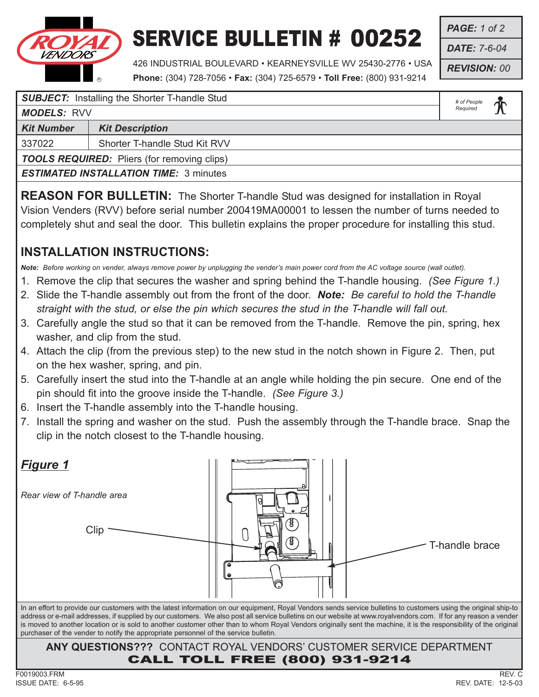

## SERVICE BULLETIN # 00252

*PAGE: 1 of 2 DATE: 7-6-04*

*REVISION: 00*

426 INDUSTRIAL BOULEVARD • KEARNEYSVILLE WV 25430-2776 • USA **Phone:** (304) 728-7056 • **Fax:** (304) 725-6579 • **Toll Free:** (800) 931-9214

> *# of People Required*

| <b>SUBJECT:</b> Installing the Shorter T-handle Stud |  |
|------------------------------------------------------|--|
|------------------------------------------------------|--|

*MODELS:* RVV

**Kit Number | Kit Description** 

337022 Shorter T-handle Stud Kit RVV

*TOOLS REQUIRED:* Pliers (for removing clips)

*ESTIMATED INSTALLATION TIME:* 3 minutes

**REASON FOR BULLETIN:** The Shorter T-handle Stud was designed for installation in Royal Vision Venders (RVV) before serial number 200419MA00001 to lessen the number of turns needed to completely shut and seal the door. This bulletin explains the proper procedure for installing this stud.

## **INSTALLATION INSTRUCTIONS:**

*Note: Before working on vender, always remove power by unplugging the vender's main power cord from the AC voltage source (wall outlet).*

- 1. Remove the clip that secures the washer and spring behind the T-handle housing. *(See Figure 1.)*
- 2. Slide the T-handle assembly out from the front of the door. *Note: Be careful to hold the T-handle straight with the stud, or else the pin which secures the stud in the T-handle will fall out.*
- 3. Carefully angle the stud so that it can be removed from the T-handle. Remove the pin, spring, hex washer, and clip from the stud.
- 4. Attach the clip (from the previous step) to the new stud in the notch shown in Figure 2. Then, put on the hex washer, spring, and pin.
- 5. Carefully insert the stud into the T-handle at an angle while holding the pin secure. One end of the pin should fit into the groove inside the T-handle. *(See Figure 3.)*
- 6. Insert the T-handle assembly into the T-handle housing.
- 7. Install the spring and washer on the stud. Push the assembly through the T-handle brace. Snap the clip in the notch closest to the T-handle housing.

| <u>Figure 1</u>                                                                                                                                                                                                                                                                                                                                                                                                                                                                                                                                                                                     |
|-----------------------------------------------------------------------------------------------------------------------------------------------------------------------------------------------------------------------------------------------------------------------------------------------------------------------------------------------------------------------------------------------------------------------------------------------------------------------------------------------------------------------------------------------------------------------------------------------------|
| Rear view of T-handle area                                                                                                                                                                                                                                                                                                                                                                                                                                                                                                                                                                          |
| Clip<br>T-handle brace                                                                                                                                                                                                                                                                                                                                                                                                                                                                                                                                                                              |
| In an effort to provide our customers with the latest information on our equipment, Royal Vendors sends service bulletins to customers using the original ship-to<br>address or e-mail addresses, if supplied by our customers. We also post all service bulletins on our website at www.royalvendors.com. If for any reason a vender<br>is moved to another location or is sold to another customer other than to whom Royal Vendors originally sent the machine, it is the responsibility of the original<br>purchaser of the vender to notify the appropriate personnel of the service bulletin. |
| ANY QUESTIONS??? CONTACT ROYAL VENDORS' CUSTOMER SERVICE DEPARTMENT<br><b>CALL TOLL FREE (800) 931-9214</b>                                                                                                                                                                                                                                                                                                                                                                                                                                                                                         |
| REV. C<br>F0019003.FRM                                                                                                                                                                                                                                                                                                                                                                                                                                                                                                                                                                              |
| $ISSUF$ DATF: 6-5-95<br>RFV DATF: $12-5-03$                                                                                                                                                                                                                                                                                                                                                                                                                                                                                                                                                         |